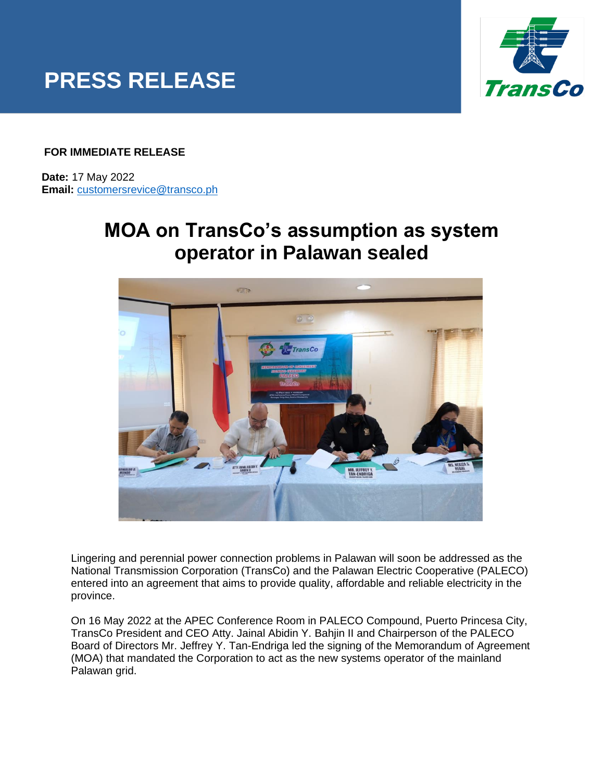



## **FOR IMMEDIATE RELEASE**

 **Date:** 17 May 2022  **Email:** [customersrevice@transco.ph](mailto:customersrevice@transco.ph)

## **MOA on TransCo's assumption as system operator in Palawan sealed**



Lingering and perennial power connection problems in Palawan will soon be addressed as the National Transmission Corporation (TransCo) and the Palawan Electric Cooperative (PALECO) entered into an agreement that aims to provide quality, affordable and reliable electricity in the province.

On 16 May 2022 at the APEC Conference Room in PALECO Compound, Puerto Princesa City, TransCo President and CEO Atty. Jainal Abidin Y. Bahjin II and Chairperson of the PALECO Board of Directors Mr. Jeffrey Y. Tan-Endriga led the signing of the Memorandum of Agreement (MOA) that mandated the Corporation to act as the new systems operator of the mainland Palawan grid.